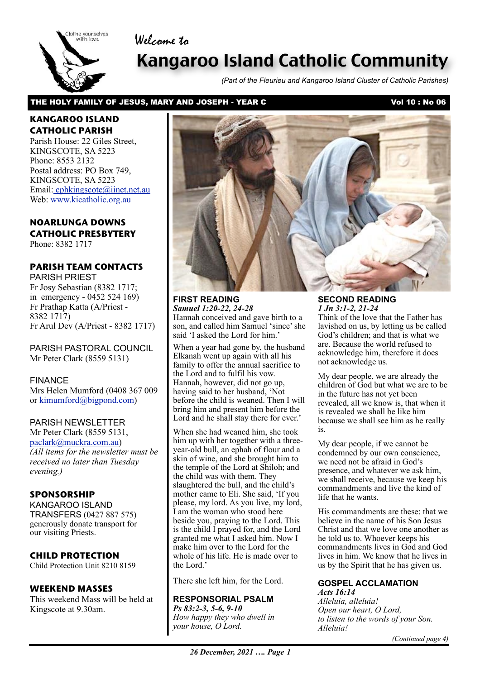# Welcome to



# Kangaroo Island Catholic Community

*(Part of the Fleurieu and Kangaroo Island Cluster of Catholic Parishes)*

#### THE HOLY FAMILY OF JESUS, MARY AND JOSEPH - YEAR C<br>
Vol 10: No 06

# **KANGAROO ISLAND CATHOLIC PARISH**

Parish House: 22 Giles Street, KINGSCOTE, SA 5223 Phone: 8553 2132 Postal address: PO Box 749, KINGSCOTE, SA 5223 Email[: cphkingscote@iinet.net.au](mailto:cphkingscote@iinet.net.au) Web: [www.kicatholic.org.au](http://www.kicatholic.org.au)

# **NOARLUNGA DOWNS CATHOLIC PRESBYTERY**

Phone: 8382 1717

# **PARISH TEAM CONTACTS**

PARISH PRIEST Fr Josy Sebastian (8382 1717; in emergency - 0452 524 169) Fr Prathap Katta (A/Priest - 8382 1717) Fr Arul Dev (A/Priest - 8382 1717)

PARISH PASTORAL COUNCIL Mr Peter Clark (8559 5131)

FINANCE Mrs Helen Mumford (0408 367 009 or [kimumford@bigpond.com\)](mailto:kimumford@bigpond.com)

#### PARISH NEWSLETTER

Mr Peter Clark (8559 5131, [paclark@muckra.com.au\)](mailto:paclark@muckra.com.au) *(All items for the newsletter must be received no later than Tuesday evening.)*

# **SPONSORSHIP**

KANGAROO ISLAND TRANSFERS (0427 887 575) generously donate transport for our visiting Priests.

# **CHILD PROTECTION**

Child Protection Unit 8210 8159

# **WEEKEND MASSES**

This weekend Mass will be held at Kingscote at 9.30am.



**FIRST READING** *Samuel 1:20-22, 24-28* Hannah conceived and gave birth to a son, and called him Samuel 'since' she said 'I asked the Lord for him.'

When a year had gone by, the husband Elkanah went up again with all his family to offer the annual sacrifice to the Lord and to fulfil his vow. Hannah, however, did not go up, having said to her husband, 'Not before the child is weaned. Then I will bring him and present him before the Lord and he shall stay there for ever.'

When she had weaned him, she took him up with her together with a threeyear-old bull, an ephah of flour and a skin of wine, and she brought him to the temple of the Lord at Shiloh; and the child was with them. They slaughtered the bull, and the child's mother came to Eli. She said, 'If you please, my lord. As you live, my lord, I am the woman who stood here beside you, praying to the Lord. This is the child I prayed for, and the Lord granted me what I asked him. Now I make him over to the Lord for the whole of his life. He is made over to the Lord.'

There she left him, for the Lord.

#### **RESPONSORIAL PSALM**

*Ps 83:2-3, 5-6, 9-10 How happy they who dwell in your house, O Lord.*

**SECOND READING** *1 Jn 3:1-2, 21-24* Think of the love that the Father has lavished on us, by letting us be called God's children; and that is what we are. Because the world refused to acknowledge him, therefore it does not acknowledge us.

My dear people, we are already the children of God but what we are to be in the future has not yet been revealed, all we know is, that when it is revealed we shall be like him because we shall see him as he really is.

My dear people, if we cannot be condemned by our own conscience, we need not be afraid in God's presence, and whatever we ask him, we shall receive, because we keep his commandments and live the kind of life that he wants.

His commandments are these: that we believe in the name of his Son Jesus Christ and that we love one another as he told us to. Whoever keeps his commandments lives in God and God lives in him. We know that he lives in us by the Spirit that he has given us.

# **GOSPEL ACCLAMATION**

*Acts 16:14 Alleluia, alleluia! Open our heart, O Lord, to listen to the words of your Son. Alleluia!*

*(Continued page 4)*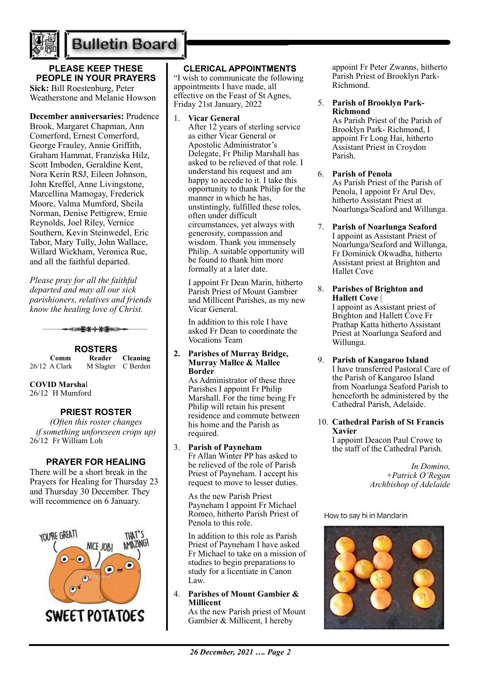

# **Bulletin Board**

# **PLEASE KEEP THESE PEOPLE IN YOUR PRAYERS**

**Sick:** Bill Roestenburg, Peter Weatherstone and Melanie Howson

# **December anniversaries:** Prudence

Brook, Margaret Chapman, Ann Comerford, Ernest Comerford, George Frauley, Annie Griffith, Graham Hammat, Franziska Hilz, Scott Imboden, Geraldine Kent, Nora Kerin RSJ, Eileen Johnson, John Kreffel, Anne Livingstone, Marcellina Mamogay, Frederick Moore, Valma Mumford, Sheila Norman, Denise Pettigrew, Ernie Reynolds, Joel Riley, Vernice Southern, Kevin Steinwedel, Eric Tabor, Mary Tully, John Wallace, Willard Wickham, Veronica Rue, and all the faithful departed.

*Please pray for all the faithful departed and may all our sick parishioners, relatives and friends know the healing love of Christ.*



**ROSTERS Comm Reader Cleaning** 26/12 A Clark M Slagter C Berden

#### **COVID Marsha**l 26/12 H Mumford

# **PRIEST ROSTER**

*(Often this roster changes if something unforeseen crops up)* 26/12 Fr William Loh

# **PRAYER FOR HEALING**

There will be a short break in the Prayers for Healing for Thursday 23 and Thursday 30 December. They will recommence on 6 January.



# **CLERICAL APPOINTMENTS**

"I wish to communicate the following appointments I have made, all effective on the Feast of St Agnes, Friday 21st January, 2022

1. **Vicar General** 

After 12 years of sterling service as either Vicar General or Apostolic Administrator's Delegate, Fr Philip Marshall has asked to be relieved of that role. I understand his request and am happy to accede to it. I take this opportunity to thank Philip for the manner in which he has, unstintingly, fulfilled these roles, often under difficult circumstances, yet always with generosity, compassion and wisdom. Thank you immensely Philip. A suitable opportunity will be found to thank him more formally at a later date.

I appoint Fr Dean Marin, hitherto Parish Priest of Mount Gambier and Millicent Parishes, as my new Vicar General.

In addition to this role I have asked Fr Dean to coordinate the Vocations Team

#### **2. Parishes of Murray Bridge, Murray Mallee & Mallee Border**

As Administrator of these three Parishes I appoint Fr Philip Marshall. For the time being Fr Philip will retain his present residence and commute between his home and the Parish as required.

# 3. **Parish of Payneham**

Fr Allan Winter PP has asked to be relieved of the role of Parish Priest of Payneham. I accept his request to move to lesser duties.

As the new Parish Priest Payneham I appoint Fr Michael Romeo, hitherto Parish Priest of Penola to this role.

In addition to this role as Parish Priest of Payneham I have asked Fr Michael to take on a mission of studies to begin preparations to study for a licentiate in Canon Law.

# 4. **Parishes of Mount Gambier & Millicent**

As the new Parish priest of Mount Gambier & Millicent, I hereby

appoint Fr Peter Zwanns, hitherto Parish Priest of Brooklyn Park-Richmond.

#### 5. **Parish of Brooklyn Park-Richmond**

As Parish Priest of the Parish of Brooklyn Park- Richmond, I appoint Fr Long Hai, hitherto Assistant Priest in Croydon Parish.

#### 6. **Parish of Penola**

As Parish Priest of the Parish of Penola, I appoint Fr Arul Dev, hitherto Assistant Priest at Noarlunga/Seaford and Willunga.

7. **Parish of Noarlunga Seaford** I appoint as Assistant Priest of Noarlunga/Seaford and Willunga, Fr Dominick Okwadha, hitherto Assistant priest at Brighton and Hallet Cove

# 8. **Parishes of Brighton and Hallett Cove** |

I appoint as Assistant priest of Brighton and Hallett Cove Fr Prathap Katta hitherto Assistant Priest at Noarlunga Seaford and Willunga.

- 9. **Parish of Kangaroo Island** I have transferred Pastoral Care of the Parish of Kangaroo Island from Noarlunga Seaford Parish to henceforth be administered by the Cathedral Parish, Adelaide.
- 10. **Cathedral Parish of St Francis Xavier**

I appoint Deacon Paul Crowe to the staff of the Cathedral Parish.

> *In Domino, +Patrick O'Regan Archbishop of Adelaide*

How to say hi in Mandarin

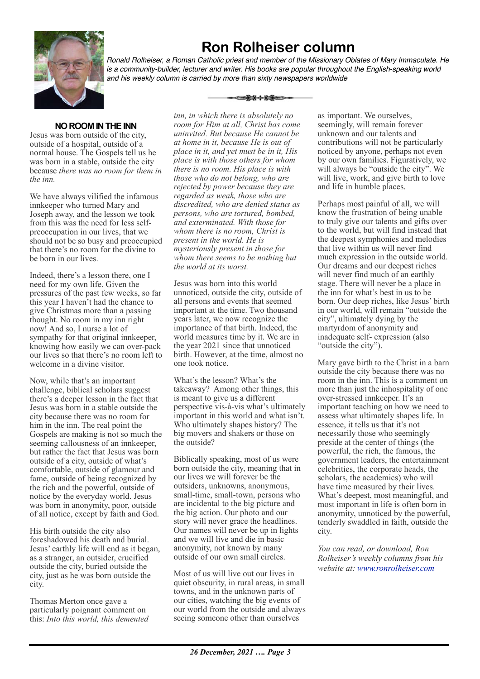

# **Ron Rolheiser column**

*Ronald Rolheiser, a Roman Catholic priest and member of the Missionary Oblates of Mary Immaculate. He is a community-builder, lecturer and writer. His books are popular throughout the English-speaking world and his weekly column is carried by more than sixty newspapers worldwide*

⊂≡≩≭⊹⊁≸≔⊃

# **NO ROOM IN THE INN**

Jesus was born outside of the city, outside of a hospital, outside of a normal house. The Gospels tell us he was born in a stable, outside the city because *there was no room for them in the inn.*

We have always vilified the infamous innkeeper who turned Mary and Joseph away, and the lesson we took from this was the need for less selfpreoccupation in our lives, that we should not be so busy and preoccupied that there's no room for the divine to be born in our lives.

Indeed, there's a lesson there, one I need for my own life. Given the pressures of the past few weeks, so far this year I haven't had the chance to give Christmas more than a passing thought. No room in my inn right now! And so, I nurse a lot of sympathy for that original innkeeper, knowing how easily we can over-pack our lives so that there's no room left to welcome in a divine visitor.

Now, while that's an important challenge, biblical scholars suggest there's a deeper lesson in the fact that Jesus was born in a stable outside the city because there was no room for him in the inn. The real point the Gospels are making is not so much the seeming callousness of an innkeeper, but rather the fact that Jesus was born outside of a city, outside of what's comfortable, outside of glamour and fame, outside of being recognized by the rich and the powerful, outside of notice by the everyday world. Jesus was born in anonymity, poor, outside of all notice, except by faith and God.

His birth outside the city also foreshadowed his death and burial. Jesus' earthly life will end as it began, as a stranger, an outsider, crucified outside the city, buried outside the city, just as he was born outside the city.

Thomas Merton once gave a particularly poignant comment on this: *Into this world, this demented* 

*inn, in which there is absolutely no room for Him at all, Christ has come uninvited. But because He cannot be at home in it, because He is out of place in it, and yet must be in it, His place is with those others for whom there is no room. His place is with those who do not belong, who are rejected by power because they are regarded as weak, those who are discredited, who are denied status as persons, who are tortured, bombed, and exterminated. With those for whom there is no room, Christ is present in the world. He is mysteriously present in those for whom there seems to be nothing but the world at its worst.*

Jesus was born into this world unnoticed, outside the city, outside of all persons and events that seemed important at the time. Two thousand years later, we now recognize the importance of that birth. Indeed, the world measures time by it. We are in the year 2021 since that unnoticed birth. However, at the time, almost no one took notice.

What's the lesson? What's the takeaway? Among other things, this is meant to give us a different perspective vis-à-vis what's ultimately important in this world and what isn't. Who ultimately shapes history? The big movers and shakers or those on the outside?

Biblically speaking, most of us were born outside the city, meaning that in our lives we will forever be the outsiders, unknowns, anonymous, small-time, small-town, persons who are incidental to the big picture and the big action. Our photo and our story will never grace the headlines. Our names will never be up in lights and we will live and die in basic anonymity, not known by many outside of our own small circles.

Most of us will live out our lives in quiet obscurity, in rural areas, in small towns, and in the unknown parts of our cities, watching the big events of our world from the outside and always seeing someone other than ourselves

as important. We ourselves, seemingly, will remain forever unknown and our talents and contributions will not be particularly noticed by anyone, perhaps not even by our own families. Figuratively, we will always be "outside the city". We will live, work, and give birth to love and life in humble places.

Perhaps most painful of all, we will know the frustration of being unable to truly give our talents and gifts over to the world, but will find instead that the deepest symphonies and melodies that live within us will never find much expression in the outside world. Our dreams and our deepest riches will never find much of an earthly stage. There will never be a place in the inn for what's best in us to be born. Our deep riches, like Jesus' birth in our world, will remain "outside the city", ultimately dying by the martyrdom of anonymity and inadequate self- expression (also "outside the city").

Mary gave birth to the Christ in a barn outside the city because there was no room in the inn. This is a comment on more than just the inhospitality of one over-stressed innkeeper. It's an important teaching on how we need to assess what ultimately shapes life. In essence, it tells us that it's not necessarily those who seemingly preside at the center of things (the powerful, the rich, the famous, the government leaders, the entertainment celebrities, the corporate heads, the scholars, the academics) who will have time measured by their lives. What's deepest, most meaningful, and most important in life is often born in anonymity, unnoticed by the powerful, tenderly swaddled in faith, outside the city.

*You can read, or download, Ron Rolheiser's weekly columns from his website at: [www.ronrolheiser.com](http://www.ronrolheiser.com)*